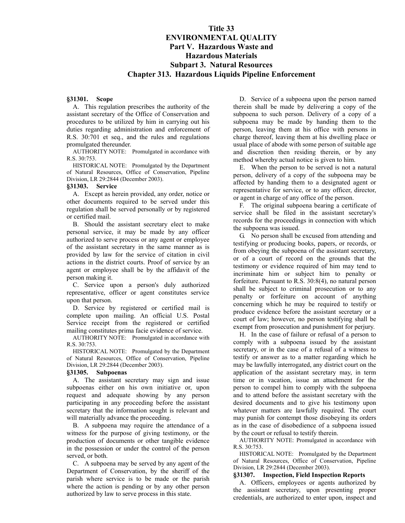# **Title 33 ENVIRONMENTAL QUALITY Part V. Hazardous Waste and Hazardous Materials Subpart 3. Natural Resources Chapter 313. Hazardous Liquids Pipeline Enforcement**

## **§31301. Scope**

A. This regulation prescribes the authority of the assistant secretary of the Office of Conservation and procedures to be utilized by him in carrying out his duties regarding administration and enforcement of R.S. 30:701 et seq., and the rules and regulations promulgated thereunder.

AUTHORITY NOTE: Promulgated in accordance with R.S. 30:753.

HISTORICAL NOTE: Promulgated by the Department of Natural Resources, Office of Conservation, Pipeline Division, LR 29:2844 (December 2003).

#### **§31303. Service**

A. Except as herein provided, any order, notice or other documents required to be served under this regulation shall be served personally or by registered or certified mail.

B. Should the assistant secretary elect to make personal service, it may be made by any officer authorized to serve process or any agent or employee of the assistant secretary in the same manner as is provided by law for the service of citation in civil actions in the district courts. Proof of service by an agent or employee shall be by the affidavit of the person making it.

C. Service upon a person's duly authorized representative, officer or agent constitutes service upon that person.

D. Service by registered or certified mail is complete upon mailing. An official U.S. Postal Service receipt from the registered or certified mailing constitutes prima facie evidence of service.

AUTHORITY NOTE: Promulgated in accordance with R.S. 30:753.

HISTORICAL NOTE: Promulgated by the Department of Natural Resources, Office of Conservation, Pipeline Division, LR 29:2844 (December 2003).

#### **§31305. Subpoenas**

A. The assistant secretary may sign and issue subpoenas either on his own initiative or, upon request and adequate showing by any person participating in any proceeding before the assistant secretary that the information sought is relevant and will materially advance the proceeding.

B. A subpoena may require the attendance of a witness for the purpose of giving testimony, or the production of documents or other tangible evidence in the possession or under the control of the person served, or both.

C. A subpoena may be served by any agent of the Department of Conservation, by the sheriff of the parish where service is to be made or the parish where the action is pending or by any other person authorized by law to serve process in this state.

D. Service of a subpoena upon the person named therein shall be made by delivering a copy of the subpoena to such person. Delivery of a copy of a subpoena may be made by handing them to the person, leaving them at his office with persons in charge thereof, leaving them at his dwelling place or usual place of abode with some person of suitable age and discretion then residing therein, or by any method whereby actual notice is given to him.

E. When the person to be served is not a natural person, delivery of a copy of the subpoena may be affected by handing them to a designated agent or representative for service, or to any officer, director, or agent in charge of any office of the person.

F. The original subpoena bearing a certificate of service shall be filed in the assistant secretary's records for the proceedings in connection with which the subpoena was issued.

G. No person shall be excused from attending and testifying or producing books, papers, or records, or from obeying the subpoena of the assistant secretary, or of a court of record on the grounds that the testimony or evidence required of him may tend to incriminate him or subject him to penalty or forfeiture. Pursuant to R.S. 30:8(4), no natural person shall be subject to criminal prosecution or to any penalty or forfeiture on account of anything concerning which he may be required to testify or produce evidence before the assistant secretary or a court of law; however, no person testifying shall be exempt from prosecution and punishment for perjury.

H. In the case of failure or refusal of a person to comply with a subpoena issued by the assistant secretary, or in the case of a refusal of a witness to testify or answer as to a matter regarding which he may be lawfully interrogated, any district court on the application of the assistant secretary may, in term time or in vacation, issue an attachment for the person to compel him to comply with the subpoena and to attend before the assistant secretary with the desired documents and to give his testimony upon whatever matters are lawfully required. The court may punish for contempt those disobeying its orders as in the case of disobedience of a subpoena issued by the court or refusal to testify therein.

AUTHORITY NOTE: Promulgated in accordance with R.S. 30:753.

HISTORICAL NOTE: Promulgated by the Department of Natural Resources, Office of Conservation, Pipeline Division, LR 29:2844 (December 2003).

## **§31307. Inspection, Field Inspection Reports**

A. Officers, employees or agents authorized by the assistant secretary, upon presenting proper credentials, are authorized to enter upon, inspect and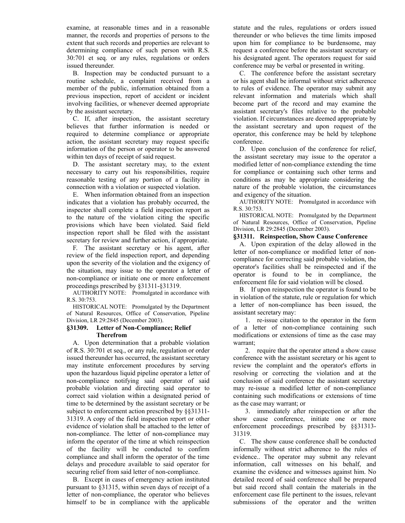examine, at reasonable times and in a reasonable manner, the records and properties of persons to the extent that such records and properties are relevant to determining compliance of such person with R.S. 30:701 et seq. or any rules, regulations or orders issued thereunder.

B. Inspection may be conducted pursuant to a routine schedule, a complaint received from a member of the public, information obtained from a previous inspection, report of accident or incident involving facilities, or whenever deemed appropriate by the assistant secretary.

C. If, after inspection, the assistant secretary believes that further information is needed or required to determine compliance or appropriate action, the assistant secretary may request specific information of the person or operator to be answered within ten days of receipt of said request.

D. The assistant secretary may, to the extent necessary to carry out his responsibilities, require reasonable testing of any portion of a facility in connection with a violation or suspected violation.

E. When information obtained from an inspection indicates that a violation has probably occurred, the inspector shall complete a field inspection report as to the nature of the violation citing the specific provisions which have been violated. Said field inspection report shall be filed with the assistant secretary for review and further action, if appropriate.

F. The assistant secretary or his agent, after review of the field inspection report, and depending upon the severity of the violation and the exigency of the situation, may issue to the operator a letter of non-compliance or initiate one or more enforcement proceedings prescribed by §31311-§31319.

AUTHORITY NOTE: Promulgated in accordance with R.S. 30:753.

HISTORICAL NOTE: Promulgated by the Department of Natural Resources, Office of Conservation, Pipeline Division, LR 29:2845 (December 2003).

# **§31309. Letter of Non-Compliance; Relief Therefrom**

A. Upon determination that a probable violation of R.S. 30:701 et seq., or any rule, regulation or order issued thereunder has occurred, the assistant secretary may institute enforcement procedures by serving upon the hazardous liquid pipeline operator a letter of non-compliance notifying said operator of said probable violation and directing said operator to correct said violation within a designated period of time to be determined by the assistant secretary or be subject to enforcement action prescribed by §§31311- 31319. A copy of the field inspection report or other evidence of violation shall be attached to the letter of non-compliance. The letter of non-compliance may inform the operator of the time at which reinspection of the facility will be conducted to confirm compliance and shall inform the operator of the time delays and procedure available to said operator for securing relief from said letter of non-compliance.

B. Except in cases of emergency action instituted pursuant to §31315, within seven days of receipt of a letter of non-compliance, the operator who believes himself to be in compliance with the applicable statute and the rules, regulations or orders issued thereunder or who believes the time limits imposed upon him for compliance to be burdensome, may request a conference before the assistant secretary or his designated agent. The operators request for said conference may be verbal or presented in writing.

C. The conference before the assistant secretary or his agent shall be informal without strict adherence to rules of evidence. The operator may submit any relevant information and materials which shall become part of the record and may examine the assistant secretary's files relative to the probable violation. If circumstances are deemed appropriate by the assistant secretary and upon request of the operator, this conference may be held by telephone conference.

D. Upon conclusion of the conference for relief, the assistant secretary may issue to the operator a modified letter of non-compliance extending the time for compliance or containing such other terms and conditions as may be appropriate considering the nature of the probable violation, the circumstances and exigency of the situation.

AUTHORITY NOTE: Promulgated in accordance with R.S. 30:753.

HISTORICAL NOTE: Promulgated by the Department of Natural Resources, Office of Conservation, Pipeline Division, LR 29:2845 (December 2003).

# **§31311. Reinspection, Show Cause Conference**

A. Upon expiration of the delay allowed in the letter of non-compliance or modified letter of noncompliance for correcting said probable violation, the operator's facilities shall be reinspected and if the operator is found to be in compliance, the enforcement file for said violation will be closed.

B. If upon reinspection the operator is found to be in violation of the statute, rule or regulation for which a letter of non-compliance has been issued, the assistant secretary may:

1. re-issue citation to the operator in the form of a letter of non-compliance containing such modifications or extensions of time as the case may warrant;

2. require that the operator attend a show cause conference with the assistant secretary or his agent to review the complaint and the operator's efforts in resolving or correcting the violation and at the conclusion of said conference the assistant secretary may re-issue a modified letter of non-compliance containing such modifications or extensions of time as the case may warrant; or

3. immediately after reinspection or after the show cause conference, initiate one or more enforcement proceedings prescribed by §§31313- 31319.

C. The show cause conference shall be conducted informally without strict adherence to the rules of evidence.. The operator may submit any relevant information, call witnesses on his behalf, and examine the evidence and witnesses against him. No detailed record of said conference shall be prepared but said record shall contain the materials in the enforcement case file pertinent to the issues, relevant submissions of the operator and the written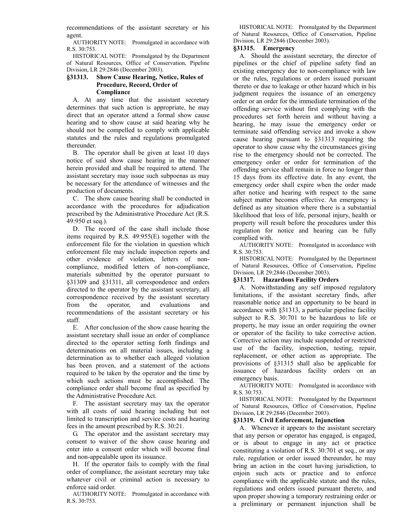recommendations of the assistant secretary or his agent.

AUTHORITY NOTE: Promulgated in accordance with R.S. 30:753.

HISTORICAL NOTE: Promulgated by the Department of Natural Resources, Office of Conservation, Pipeline Division, LR 29:2846 (December 2003).

# **§31313. Show Cause Hearing, Notice, Rules of Procedure, Record, Order of Compliance**

A. At any time that the assistant secretary determines that such action is appropriate, he may direct that an operator attend a formal show cause hearing and to show cause at said hearing why he should not be compelled to comply with applicable statutes and the rules and regulations promulgated thereunder.

B. The operator shall be given at least 10 days notice of said show cause hearing in the manner herein provided and shall be required to attend. The assistant secretary may issue such subpoenas as may be necessary for the attendance of witnesses and the production of documents.

C. The show cause hearing shall be conducted in accordance with the procedures for adjudication prescribed by the Administrative Procedure Act (R.S. 49:950 et seq.).

D. The record of the case shall include those items required by R.S. 49:955(E) together with the enforcement file for the violation in question which enforcement file may include inspection reports and other evidence of violation, letters of noncompliance, modified letters of non-compliance, materials submitted by the operator pursuant to §31309 and §31311, all correspondence and orders directed to the operator by the assistant secretary, all correspondence received by the assistant secretary from the operator, and evaluations and recommendations of the assistant secretary or his staff.

E. After conclusion of the show cause hearing the assistant secretary shall issue an order of compliance directed to the operator setting forth findings and determinations on all material issues, including a determination as to whether each alleged violation has been proven, and a statement of the actions required to be taken by the operator and the time by which such actions must be accomplished. The compliance order shall become final as specified by the Administrative Procedure Act.

F. The assistant secretary may tax the operator with all costs of said hearing including but not limited to transcription and service costs and hearing fees in the amount prescribed by R.S. 30:21.

G. The operator and the assistant secretary may consent to waiver of the show cause hearing and enter into a consent order which will become final and non-appealable upon its issuance.

H. If the operator fails to comply with the final order of compliance, the assistant secretary may take whatever civil or criminal action is necessary to enforce said order.

AUTHORITY NOTE: Promulgated in accordance with R.S. 30:753.

HISTORICAL NOTE: Promulgated by the Department of Natural Resources, Office of Conservation, Pipeline Division, LR 29:2846 (December 2003).

# **§31315. Emergency**

A. Should the assistant secretary, the director of pipelines or the chief of pipeline safety find an existing emergency due to non-compliance with law or the rules, regulations or orders issued pursuant thereto or due to leakage or other hazard which in his judgment requires the issuance of an emergency order or an order for the immediate termination of the offending service without first complying with the procedures set forth herein and without having a hearing, he may issue the emergency order or terminate said offending service and invoke a show cause hearing pursuant to §31313 requiring the operator to show cause why the circumstances giving rise to the emergency should not be corrected. The emergency order or order for termination of the offending service shall remain in force no longer than 15 days from its effective date. In any event, the emergency order shall expire when the order made after notice and hearing with respect to the same subject matter becomes effective. An emergency is defined as any situation where there is a substantial likelihood that loss of life, personal injury, health or property will result before the procedures under this regulation for notice and hearing can be fully complied with.

AUTHORITY NOTE: Promulgated in accordance with R.S. 30:753.

HISTORICAL NOTE: Promulgated by the Department of Natural Resources, Office of Conservation, Pipeline Division, LR 29:2846 (December 2003).

# **§31317. Hazardous Facility Orders**

A. Notwithstanding any self imposed regulatory limitations, if the assistant secretary finds, after reasonable notice and an opportunity to be heard in accordance with §31313, a particular pipeline facility subject to R.S. 30:701 to be hazardous to life or property, he may issue an order requiring the owner or operator of the facility to take corrective action. Corrective action may include suspended or restricted use of the facility, inspection, testing, repair, replacement, or other action as appropriate. The provisions of §31315 shall also be applicable for issuance of hazardous facility orders on an emergency basis.

AUTHORITY NOTE: Promulgated in accordance with R.S. 30:753.

HISTORICAL NOTE: Promulgated by the Department of Natural Resources, Office of Conservation, Pipeline Division, LR 29:2846 (December 2003).

# **§31319. Civil Enforcement, Injunction**

A. Whenever it appears to the assistant secretary that any person or operator has engaged, is engaged, or is about to engage in any act or practice constituting a violation of R.S. 30:701 et seq., or any rule, regulation or order issued thereunder, he may bring an action in the court having jurisdiction, to enjoin such acts or practice and to enforce compliance with the applicable statute and the rules, regulations and orders issued pursuant thereto, and upon proper showing a temporary restraining order or a preliminary or permanent injunction shall be